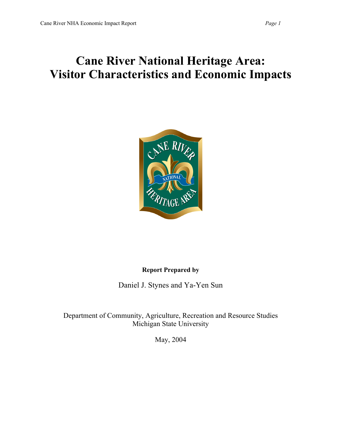# **Cane River National Heritage Area: Visitor Characteristics and Economic Impacts**



## **Report Prepared by**

Daniel J. Stynes and Ya-Yen Sun

Department of Community, Agriculture, Recreation and Resource Studies Michigan State University

May, 2004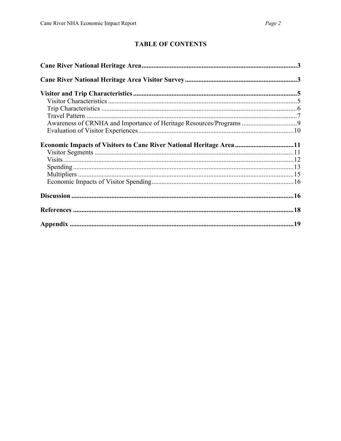# **TABLE OF CONTENTS**

| Economic Impacts of Visitors to Cane River National Heritage Area 11 |  |
|----------------------------------------------------------------------|--|
|                                                                      |  |
|                                                                      |  |
|                                                                      |  |
|                                                                      |  |
|                                                                      |  |
|                                                                      |  |
|                                                                      |  |
|                                                                      |  |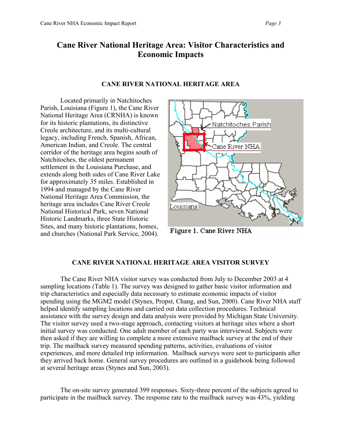# **Cane River National Heritage Area: Visitor Characteristics and Economic Impacts**

#### **CANE RIVER NATIONAL HERITAGE AREA**

Located primarily in Natchitoches Parish, Louisiana (Figure 1), the Cane River National Heritage Area (CRNHA) is known for its historic plantations, its distinctive Creole architecture, and its multi-cultural legacy, including French, Spanish, African, American Indian, and Creole. The central corridor of the heritage area begins south of Natchitoches, the oldest permanent settlement in the Louisiana Purchase, and extends along both sides of Cane River Lake for approximately 35 miles. Established in 1994 and managed by the Cane River National Heritage Area Commission, the heritage area includes Cane River Creole National Historical Park, seven National Historic Landmarks, three State Historic Sites, and many historic plantations, homes, and churches (National Park Service, 2004).



Figure 1. Cane River NHA

#### **CANE RIVER NATIONAL HERITAGE AREA VISITOR SURVEY**

The Cane River NHA visitor survey was conducted from July to December 2003 at 4 sampling locations (Table 1). The survey was designed to gather basic visitor information and trip characteristics and especially data necessary to estimate economic impacts of visitor spending using the MGM2 model (Stynes, Propst, Chang, and Sun, 2000). Cane River NHA staff helped identify sampling locations and carried out data collection procedures. Technical assistance with the survey design and data analysis were provided by Michigan State University. The visitor survey used a two-stage approach, contacting visitors at heritage sites where a short initial survey was conducted. One adult member of each party was interviewed. Subjects were then asked if they are willing to complete a more extensive mailback survey at the end of their trip. The mailback survey measured spending patterns, activities, evaluations of visitor experiences, and more detailed trip information. Mailback surveys were sent to participants after they arrived back home. General survey procedures are outlined in a guidebook being followed at several heritage areas (Stynes and Sun, 2003).

The on-site survey generated 399 responses. Sixty-three percent of the subjects agreed to participate in the mailback survey. The response rate to the mailback survey was 43%, yielding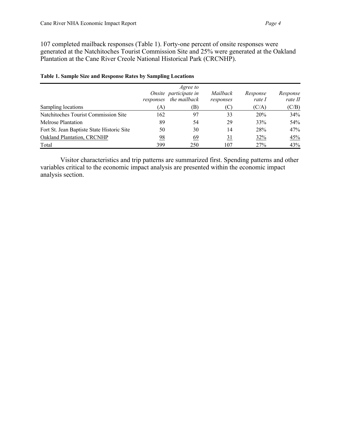107 completed mailback responses (Table 1). Forty-one percent of onsite responses were generated at the Natchitoches Tourist Commission Site and 25% were generated at the Oakland Plantation at the Cane River Creole National Historical Park (CRCNHP).

|                                            | responses | Agree to<br>Onsite participate in<br>the mailback | Mailback<br>responses | Response<br>rate I | Response<br>rate II |
|--------------------------------------------|-----------|---------------------------------------------------|-----------------------|--------------------|---------------------|
| Sampling locations                         | (A)       | (B)                                               | 'C)                   | (C/A)              | (C/B)               |
| Natchitoches Tourist Commission Site       | 162       | 97                                                | 33                    | 20%                | 34%                 |
| Melrose Plantation                         | 89        | 54                                                | 29                    | 33%                | 54%                 |
| Fort St. Jean Baptiste State Historic Site | 50        | 30                                                | 14                    | 28%                | 47%                 |
| Oakland Plantation, CRCNHP                 | 98        | 69                                                | $\overline{31}$       | 32%                | 45%                 |
| Total                                      | 399       | 250                                               | 107                   | 27%                | 43%                 |

#### **Table 1. Sample Size and Response Rates by Sampling Locations**

Visitor characteristics and trip patterns are summarized first. Spending patterns and other variables critical to the economic impact analysis are presented within the economic impact analysis section.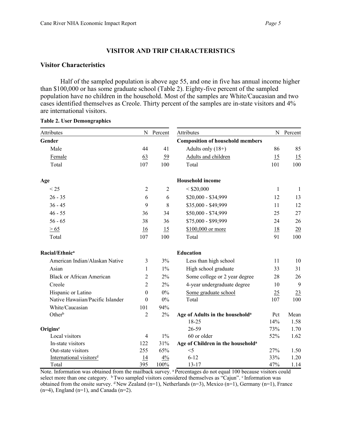## **VISITOR AND TRIP CHARACTERISTICS**

## **Visitor Characteristics**

Half of the sampled population is above age 55, and one in five has annual income higher than \$100,000 or has some graduate school (Table 2). Eighty-five percent of the sampled population have no children in the household. Most of the samples are White/Caucasian and two cases identified themselves as Creole. Thirty percent of the samples are in-state visitors and 4% are international visitors.

| Attributes                          | N                | Percent        | Attributes                                    | N            | Percent |
|-------------------------------------|------------------|----------------|-----------------------------------------------|--------------|---------|
| Gender                              |                  |                | <b>Composition of household members</b>       |              |         |
| Male                                | 44               | 41             | Adults only $(18+)$                           | 86           | 85      |
| Female                              | 63               | 59             | Adults and children                           | 15           | 15      |
| Total                               | 107              | 100            | Total                                         | 101          | 100     |
| Age                                 |                  |                | <b>Household income</b>                       |              |         |
| < 25                                | $\overline{c}$   | $\overline{2}$ | $<$ \$20,000                                  | $\mathbf{1}$ | 1       |
| $26 - 35$                           | 6                | 6              | \$20,000 - \$34,999                           | 12           | 13      |
| $36 - 45$                           | 9                | 8              | \$35,000 - \$49,999                           | 11           | 12      |
| $46 - 55$                           | 36               | 34             | \$50,000 - \$74,999                           | 25           | 27      |
| $56 - 65$                           | 38               | 36             | \$75,000 - \$99,999                           | 24           | 26      |
| > 65                                | 16               | 15             | \$100,000 or more                             | <u>18</u>    | 20      |
| Total                               | 107              | 100            | Total                                         | 91           | 100     |
| Racial/Ethnic <sup>a</sup>          |                  |                | <b>Education</b>                              |              |         |
| American Indian/Alaskan Native      | 3                | 3%             | Less than high school                         | 11           | 10      |
| Asian                               | 1                | $1\%$          | High school graduate                          | 33           | 31      |
| <b>Black or African American</b>    | 2                | 2%             | Some college or 2 year degree                 | 28           | 26      |
| Creole                              | $\overline{2}$   | 2%             | 4-year undergraduate degree                   | 10           | 9       |
| Hispanic or Latino                  | $\boldsymbol{0}$ | 0%             | Some graduate school                          | 25           | 23      |
| Native Hawaiian/Pacific Islander    | $\theta$         | 0%             | Total                                         | 107          | 100     |
| White/Caucasian                     | 101              | 94%            |                                               |              |         |
| Other <sup>b</sup>                  | $\overline{2}$   | $2\%$          | Age of Adults in the household <sup>a</sup>   | Pct          | Mean    |
|                                     |                  |                | 18-25                                         | 14%          | 1.58    |
| Origins <sup>c</sup>                |                  |                | 26-59                                         | 73%          | 1.70    |
| Local visitors                      | $\overline{4}$   | $1\%$          | 60 or older                                   | 52%          | 1.62    |
| In-state visitors                   | 122              | 31%            | Age of Children in the household <sup>a</sup> |              |         |
| Out-state visitors                  | 255              | 65%            | $<$ 5                                         | 27%          | 1.50    |
| International visitors <sup>d</sup> | 14               | 4%             | $6 - 12$                                      | 33%          | 1.20    |
| Total                               | 395              | 100%           | $13 - 17$                                     | 47%          | 1.14    |

#### **Table 2. User Demongraphics**

Note. Information was obtained from the mailback survey. <sup>a</sup> Percentages do not equal 100 because visitors could select more than one category. <sup>b</sup> Two sampled visitors considered themselves as "Cajun". CInformation was obtained from the onsite survey.  $\text{d}$  New Zealand (n=1), Netherlands (n=3), Mexico (n=1), Germany (n=1), France  $(n=4)$ , England  $(n=1)$ , and Canada  $(n=2)$ .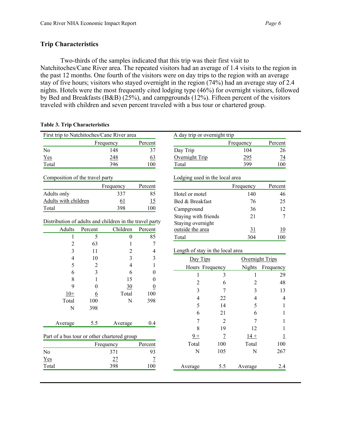## **Trip Characteristics**

Two-thirds of the samples indicated that this trip was their first visit to Natchitoches/Cane River area. The repeated visitors had an average of 1.4 visits to the region in the past 12 months. One fourth of the visitors were on day trips to the region with an average stay of five hours; visitors who stayed overnight in the region (74%) had an average stay of 2.4 nights. Hotels were the most frequently cited lodging type (46%) for overnight visitors, followed by Bed and Breakfasts (B&B) (25%), and campgrounds (12%). Fifteen percent of the visitors traveled with children and seven percent traveled with a bus tour or chartered group.

| First trip to Natchitoches/Cane River area              |                 |                  |                  | A day trip or overnight trip     |                |                |                  |
|---------------------------------------------------------|-----------------|------------------|------------------|----------------------------------|----------------|----------------|------------------|
|                                                         |                 | Frequency        | Percent          |                                  |                | Frequency      | Percent          |
| N <sub>o</sub>                                          |                 | 148              | 37               | Day Trip                         |                | 104            | 26               |
| Yes                                                     |                 | 248              | 63               | Overnight Trip                   |                | 295            | $\frac{74}{1}$   |
| Total                                                   |                 | 396              | 100              | Total                            |                | 399            | 100              |
| Composition of the travel party                         |                 |                  |                  | Lodging used in the local area   |                |                |                  |
|                                                         |                 | Frequency        | Percent          |                                  |                | Frequency      | Percent          |
| Adults only                                             |                 | 337              | 85               | Hotel or motel                   |                | 140            | 46               |
| Adults with children                                    |                 | 61               | 15               | Bed & Breakfast                  |                | 76             | 25               |
| Total                                                   |                 | 398              | 100              | Campground                       |                | 36             | 12               |
|                                                         |                 |                  |                  | Staying with friends             |                | 21             | 7                |
| Distribution of adults and children in the travel party |                 |                  |                  | Staying overnight                |                |                |                  |
| Adults                                                  | Percent         | Children         | Percent          | outside the area                 |                | 31             | 10               |
| $\mathbf{1}$                                            | 5               | $\boldsymbol{0}$ | 85               | Total<br>304                     |                | 100            |                  |
| $\overline{2}$                                          | 63              | 1                | 7                |                                  |                |                |                  |
| 3                                                       | 11              | 2                | $\overline{4}$   | Length of stay in the local area |                |                |                  |
| 4                                                       | 10              | 3                | 3                | Day Tips<br>Overnight Trips      |                |                |                  |
| 5                                                       | $\overline{c}$  | 4                | $\mathbf{1}$     | Hours Frequency                  |                |                | Nights Frequency |
| 6                                                       | 3               | 6                | $\theta$         | 1                                | 3              | 1              | 29               |
| 8                                                       | 1               | 15               | $\theta$         | $\overline{c}$                   | 6              | $\overline{c}$ | 48               |
| 9                                                       | $\theta$        | 30               | $\boldsymbol{0}$ | 3                                | 7              | 3              | 13               |
| $10+$                                                   | $6\overline{6}$ | Total            | 100              | 4                                | 22             | $\overline{4}$ | 4                |
| Total                                                   | 100             | N                | 398              |                                  |                |                |                  |
| $\mathbf N$                                             | 398             |                  |                  | 5                                | 14             | 5              | 1                |
|                                                         |                 |                  |                  | 6                                | 21             | 6              |                  |
| Average                                                 | 5.5             | Average          | 0.4              | 7                                | $\overline{2}$ | 7              |                  |
|                                                         |                 |                  |                  | 8                                | 19             | 12             |                  |
| Part of a bus tour or other chartered group             |                 |                  |                  | $9+$                             | $\overline{1}$ | $14 +$         |                  |
|                                                         |                 | Frequency        | Percent          | Total                            | 100            | Total          | 100              |
| N <sub>o</sub>                                          |                 | 371              | 93               | N                                | 105            | $\mathbf N$    | 267              |
| Yes                                                     |                 | 27               | $\overline{1}$   |                                  |                |                |                  |
|                                                         |                 | 398              | 100              | Average                          | 5.5            | Average        | 2.4              |

## **Table 3. Trip Characteristics**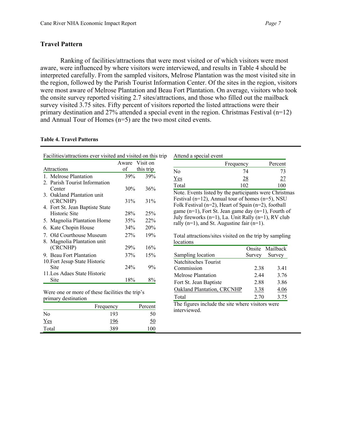## **Travel Pattern**

Ranking of facilities/attractions that were most visited or of which visitors were most aware, were influenced by where visitors were interviewed, and results in Table 4 should be interpreted carefully. From the sampled visitors, Melrose Plantation was the most visited site in the region, followed by the Parish Tourist Information Center. Of the sites in the region, visitors were most aware of Melrose Plantation and Beau Fort Plantation. On average, visitors who took the onsite survey reported visiting 2.7 sites/attractions, and those who filled out the mailback survey visited 3.75 sites. Fifty percent of visitors reported the listed attractions were their primary destination and 27% attended a special event in the region. Christmas Festival  $(n=12)$ and Annual Tour of Homes (n=5) are the two most cited events.

#### **Table 4. Travel Patterns**

| Facilities/attractions ever visited and visited on this trip |       |           |  |
|--------------------------------------------------------------|-------|-----------|--|
|                                                              | Aware | Visit on  |  |
| Attractions                                                  | of    | this trip |  |
| 1. Melrose Plantation                                        | 39%   | 39%       |  |
| 2. Parish Tourist Information                                |       |           |  |
| Center                                                       | 30%   | 36%       |  |
| 3. Oakland Plantation unit                                   |       |           |  |
| (CRCNHP)                                                     | 31%   | 31%       |  |
| 4. Fort St. Jean Baptiste State                              |       |           |  |
| Historic Site                                                | 28%   | 25%       |  |
| 5. Magnolia Plantation Home                                  | 35%   | 22%       |  |
| 6. Kate Chopin House                                         | 34%   | 20%       |  |
| 7. Old Courthouse Museum                                     | 27%   | 19%       |  |
| 8. Magnolia Plantation unit                                  |       |           |  |
| (CRCNHP)                                                     | 29%   | 16%       |  |
| 9. Beau Fort Plantation                                      | 37%   | 15%       |  |
| 10. Fort Jesup State Historic                                |       |           |  |
| Site                                                         | 24%   | $9\%$     |  |
| 11. Los Adaes State Historic                                 |       |           |  |
| Site                                                         | 18%   | 8%        |  |

Were one or more of these facilities the trip's primary destination

|       | Frequency | Percent |
|-------|-----------|---------|
| No    | 193       | 50      |
| $Yes$ | 196       |         |
| Total | 389       |         |

| Attend a special event |           |         |  |  |  |
|------------------------|-----------|---------|--|--|--|
|                        | Frequency | Percent |  |  |  |
| No                     |           |         |  |  |  |
| Yes                    |           |         |  |  |  |

Total 102 100 ote. Events listed by the participants were Christmas estival (n=12), Annual tour of homes (n=5), NSU  $blk$  Festival (n=2), Heart of Spain (n=2), football ame (n=1), Fort St. Jean game day  $(n=1)$ , Fourth of lly fireworks (n=1), La. Unit Rally (n=1), RV club  $l\nu$  (n=1), and St. Augustine fair (n=1).

otal attractions/sites visited on the trip by sampling cations

|                            |        | Onsite Mailback |
|----------------------------|--------|-----------------|
| Sampling location          | Survey | Survey          |
| Natchitoches Tourist       |        |                 |
| Commission                 | 2.38   | 3.41            |
| Melrose Plantation         | 2.44   | 3.76            |
| Fort St. Jean Baptiste     | 2.88   | 3.86            |
| Oakland Plantation, CRCNHP | 3.38   | 4.06            |
| Total                      | 2.70   | 3.75            |
| .                          |        |                 |

The figures include the site where visitors were interviewed.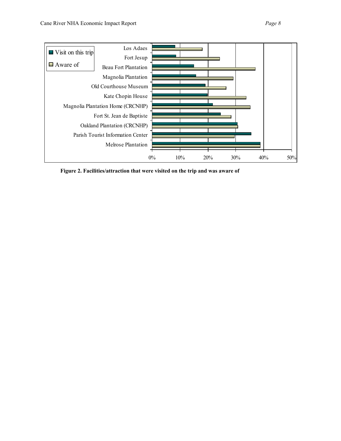

**Figure 2. Facilities/attraction that were visited on the trip and was aware of**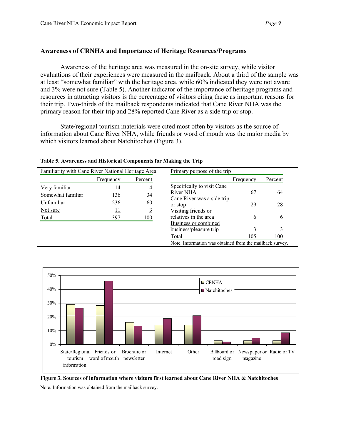## **Awareness of CRNHA and Importance of Heritage Resources/Programs**

Awareness of the heritage area was measured in the on-site survey, while visitor evaluations of their experiences were measured in the mailback. About a third of the sample was at least "somewhat familiar" with the heritage area, while 60% indicated they were not aware and 3% were not sure (Table 5). Another indicator of the importance of heritage programs and resources in attracting visitors is the percentage of visitors citing these as important reasons for their trip. Two-thirds of the mailback respondents indicated that Cane River NHA was the primary reason for their trip and 28% reported Cane River as a side trip or stop.

State/regional tourism materials were cited most often by visitors as the source of information about Cane River NHA, while friends or word of mouth was the major media by which visitors learned about Natchitoches (Figure 3).

Familiarity with Cane River National Heritage Area Frequency Percent Very familiar 14 4 Somewhat familiar 136 34 Unfamiliar 236 60 Not sure  $\frac{11}{3}$ Total 397 100 Primary purpose of the trip Frequency Percent Specifically to visit Cane River NHA 67 64 Cane River was a side trip or stop 29 28 Visiting friends or relatives in the area 6 6 Business or combined business/pleasure trip  $\frac{3}{3}$   $\frac{3}{3}$ Total 105 100 Note. Information was obtained from the mailback survey.

**Table 5. Awareness and Historical Components for Making the Trip**



**Figure 3. Sources of information where visitors first learned about Cane River NHA & Natchitoches**

Note. Information was obtained from the mailback survey.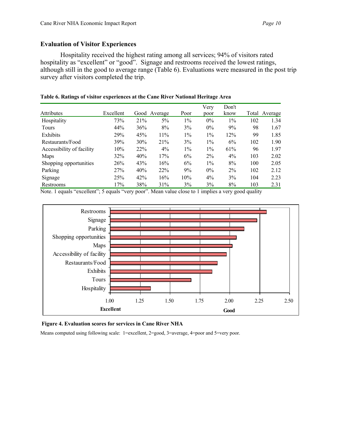## **Evaluation of Visitor Experiences**

Hospitality received the highest rating among all services; 94% of visitors rated hospitality as "excellent" or "good". Signage and restrooms received the lowest ratings, although still in the good to average range (Table 6). Evaluations were measured in the post trip survey after visitors completed the trip.

|                           |           |     |              |       | Very  | Don't |     |               |
|---------------------------|-----------|-----|--------------|-------|-------|-------|-----|---------------|
| Attributes                | Excellent |     | Good Average | Poor  | poor  | know  |     | Total Average |
| Hospitality               | 73%       | 21% | $5\%$        | $1\%$ | $0\%$ | 1%    | 102 | 1.34          |
| <b>Tours</b>              | 44%       | 36% | 8%           | 3%    | $0\%$ | 9%    | 98  | 1.67          |
| Exhibits                  | 29%       | 45% | 11%          | $1\%$ | $1\%$ | 12%   | 99  | 1.85          |
| Restaurants/Food          | 39%       | 30% | 21%          | 3%    | $1\%$ | 6%    | 102 | 1.90          |
| Accessibility of facility | 10%       | 22% | 4%           | $1\%$ | $1\%$ | 61%   | 96  | 1.97          |
| Maps                      | 32%       | 40% | 17%          | 6%    | $2\%$ | $4\%$ | 103 | 2.02          |
| Shopping opportunities    | 26%       | 43% | 16%          | 6%    | $1\%$ | 8%    | 100 | 2.05          |
| Parking                   | 27%       | 40% | <b>22%</b>   | 9%    | $0\%$ | $2\%$ | 102 | 2.12          |
| Signage                   | 25%       | 42% | 16%          | 10%   | 4%    | 3%    | 104 | 2.23          |
| Restrooms                 | 17%       | 38% | 31%          | 3%    | 3%    | 8%    | 103 | 2.31          |

**Table 6. Ratings of visitor experiences at the Cane River National Heritage Area** 

Note. 1 equals "excellent"; 5 equals "very poor". Mean value close to 1 implies a very good quality



#### **Figure 4. Evaluation scores for services in Cane River NHA**

Means computed using following scale: 1=excellent, 2=good, 3=average, 4=poor and 5=very poor.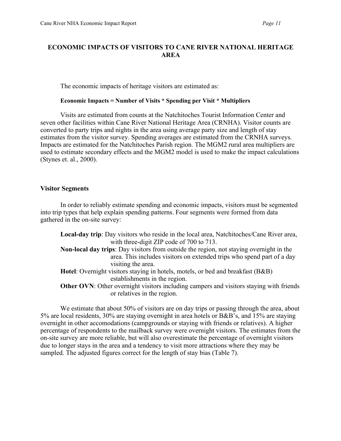## **ECONOMIC IMPACTS OF VISITORS TO CANE RIVER NATIONAL HERITAGE AREA**

The economic impacts of heritage visitors are estimated as:

#### **Economic Impacts = Number of Visits \* Spending per Visit \* Multipliers**

Visits are estimated from counts at the Natchitoches Tourist Information Center and seven other facilities within Cane River National Heritage Area (CRNHA). Visitor counts are converted to party trips and nights in the area using average party size and length of stay estimates from the visitor survey. Spending averages are estimated from the CRNHA surveys. Impacts are estimated for the Natchitoches Parish region. The MGM2 rural area multipliers are used to estimate secondary effects and the MGM2 model is used to make the impact calculations (Stynes et. al., 2000).

#### **Visitor Segments**

In order to reliably estimate spending and economic impacts, visitors must be segmented into trip types that help explain spending patterns. Four segments were formed from data gathered in the on-site survey:

**Local-day trip**: Day visitors who reside in the local area, Natchitoches/Cane River area, with three-digit ZIP code of 700 to 713. **Non-local day trips**: Day visitors from outside the region, not staying overnight in the area. This includes visitors on extended trips who spend part of a day visiting the area. **Hotel**: Overnight visitors staying in hotels, motels, or bed and breakfast (B&B) establishments in the region. **Other OVN**: Other overnight visitors including campers and visitors staying with friends or relatives in the region.

We estimate that about 50% of visitors are on day trips or passing through the area, about 5% are local residents, 30% are staying overnight in area hotels or B&B's, and 15% are staying overnight in other accomodations (campgrounds or staying with friends or relatives). A higher percentage of respondents to the mailback survey were overnight visitors. The estimates from the on-site survey are more reliable, but will also overestimate the percentage of overnight visitors due to longer stays in the area and a tendency to visit more attractions where they may be sampled. The adjusted figures correct for the length of stay bias (Table 7).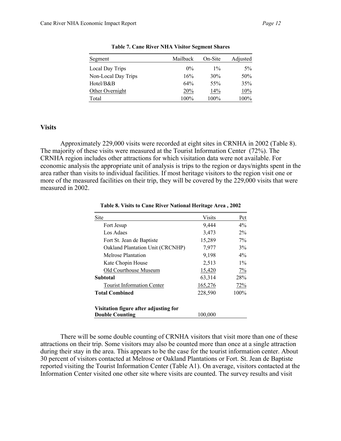| Segment             | Mailback | On-Site | Adjusted |
|---------------------|----------|---------|----------|
| Local Day Trips     | $0\%$    | $1\%$   | $5\%$    |
| Non-Local Day Trips | 16%      | 30%     | 50%      |
| Hotel/B&B           | 64%      | 55%     | 35%      |
| Other Overnight     | 20%      | 14%     | 10%      |
| Total               | 100%     | 100%    | 100%     |

**Table 7. Cane River NHA Visitor Segment Shares**

#### **Visits**

Approximately 229,000 visits were recorded at eight sites in CRNHA in 2002 (Table 8). The majority of these visits were measured at the Tourist Information Center (72%). The CRNHA region includes other attractions for which visitation data were not available. For economic analysis the appropriate unit of analysis is trips to the region or days/nights spent in the area rather than visits to individual facilities. If most heritage visitors to the region visit one or more of the measured facilities on their trip, they will be covered by the 229,000 visits that were measured in 2002.

| Site                                  | <b>Visits</b> | Pct     |
|---------------------------------------|---------------|---------|
| Fort Jesup                            | 9,444         | $4\%$   |
| Los Adaes                             | 3,473         | $2\%$   |
| Fort St. Jean de Baptiste             | 15,289        | $7\%$   |
| Oakland Plantation Unit (CRCNHP)      | 7,977         | 3%      |
| Melrose Plantation                    | 9,198         | $4\%$   |
| Kate Chopin House                     | 2,513         | $1\%$   |
| Old Courthouse Museum                 | 15,420        | 7%      |
| Subtotal                              | 63,314        | 28%     |
| <b>Tourist Information Center</b>     | 165,276       | 72%     |
| <b>Total Combined</b>                 | 228,590       | $100\%$ |
| Visitation figure after adjusting for |               |         |
| <b>Double Counting</b>                | 100.000       |         |

**Table 8. Visits to Cane River National Heritage Area , 2002**

There will be some double counting of CRNHA visitors that visit more than one of these attractions on their trip. Some visitors may also be counted more than once at a single attraction during their stay in the area. This appears to be the case for the tourist information center. About 30 percent of visitors contacted at Melrose or Oakland Plantations or Fort. St. Jean de Baptiste reported visiting the Tourist Information Center (Table A1). On average, visitors contacted at the Information Center visited one other site where visits are counted. The survey results and visit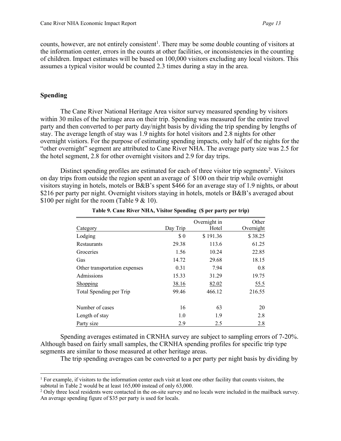counts, however, are not entirely consistent<sup>1</sup>. There may be some double counting of visitors at the information center, errors in the counts at other facilities, or inconsistencies in the counting of children. Impact estimates will be based on 100,000 visitors excluding any local visitors. This assumes a typical visitor would be counted 2.3 times during a stay in the area.

### **Spending**

The Cane River National Heritage Area visitor survey measured spending by visitors within 30 miles of the heritage area on their trip. Spending was measured for the entire travel party and then converted to per party day/night basis by dividing the trip spending by lengths of stay. The average length of stay was 1.9 nights for hotel visitors and 2.8 nights for other overnight vistiors. For the purpose of estimating spending impacts, only half of the nights for the "other overnight" segment are attributed to Cane River NHA. The average party size was 2.5 for the hotel segment, 2.8 for other overnight visitors and 2.9 for day trips.

Distinct spending profiles are estimated for each of three visitor trip segments<sup>2</sup>. Visitors on day trips from outside the region spent an average of \$100 on their trip while overnight visitors staying in hotels, motels or B&B's spent \$466 for an average stay of 1.9 nights, or about \$216 per party per night. Overnight visitors staying in hotels, motels or B&B's averaged about \$100 per night for the room (Table 9 & 10).

| Category                      | Day Trip | Overnight in<br>Hotel | Other<br>Overnight |
|-------------------------------|----------|-----------------------|--------------------|
| Lodging                       | \$0      | \$191.36              | \$38.25            |
| Restaurants                   | 29.38    | 113.6                 | 61.25              |
| Groceries                     | 1.56     | 10.24                 | 22.85              |
| Gas                           | 14.72    | 29.68                 | 18.15              |
| Other transportation expenses | 0.31     | 7.94                  | 0.8                |
| Admissions                    | 15.33    | 31.29                 | 19.75              |
| Shopping                      | 38.16    | 82.02                 | 55.5               |
| Total Spending per Trip       | 99.46    | 466.12                | 216.55             |
| Number of cases               | 16       | 63                    | 20                 |
| Length of stay                | 1.0      | 1.9                   | 2.8                |
| Party size                    | 2.9      | 2.5                   | 2.8                |

**Table 9. Cane River NHA, Visitor Spending (\$ per party per trip)**

Spending averages estimated in CRNHA survey are subject to sampling errors of 7-20%. Although based on fairly small samples, the CRNHA spending profiles for specific trip type segments are similar to those measured at other heritage areas.

The trip spending averages can be converted to a per party per night basis by dividing by

 $<sup>1</sup>$  For example, if visitors to the information center each visit at least one other facility that counts visitors, the</sup> subtotal in Table 2 would be at least 165,000 instead of only 63,000.

<sup>&</sup>lt;sup>2</sup> Only three local residents were contacted in the on-site survey and no locals were included in the mailback survey. An average spending figure of \$35 per party is used for locals.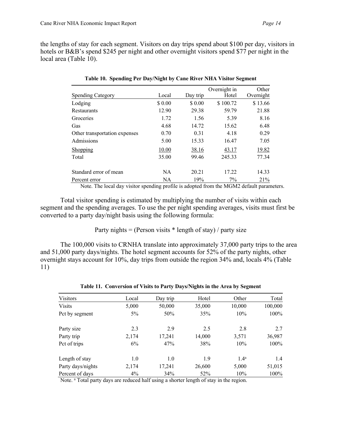the lengths of stay for each segment. Visitors on day trips spend about \$100 per day, visitors in hotels or B&B's spend \$245 per night and other overnight visitors spend \$77 per night in the local area (Table 10).

|                               |           |          | Overnight in | Other     |
|-------------------------------|-----------|----------|--------------|-----------|
| <b>Spending Category</b>      | Local     | Day trip | Hotel        | Overnight |
| Lodging                       | \$ 0.00   | \$0.00   | \$100.72     | \$13.66   |
| Restaurants                   | 12.90     | 29.38    | 59.79        | 21.88     |
| Groceries                     | 1.72      | 1.56     | 5.39         | 8.16      |
| Gas                           | 4.68      | 14.72    | 15.62        | 6.48      |
| Other transportation expenses | 0.70      | 0.31     | 4.18         | 0.29      |
| Admissions                    | 5.00      | 15.33    | 16.47        | 7.05      |
| Shopping                      | 10.00     | 38.16    | 43.17        | 19.82     |
| Total                         | 35.00     | 99.46    | 245.33       | 77.34     |
| Standard error of mean        | <b>NA</b> | 20.21    | 17.22        | 14.33     |
| Percent error                 | <b>NA</b> | 19%      | $7\%$        | 21%       |

|  | Table 10. Spending Per Day/Night by Cane River NHA Visitor Segment |  |
|--|--------------------------------------------------------------------|--|

Note. The local day visitor spending profile is adopted from the MGM2 default parameters.

Total visitor spending is estimated by multiplying the number of visits within each segment and the spending averages. To use the per night spending averages, visits must first be converted to a party day/night basis using the following formula:

Party nights = (Person visits  $*$  length of stay) / party size

The 100,000 visits to CRNHA translate into approximately 37,000 party trips to the area and 51,000 party days/nights. The hotel segment accounts for 52% of the party nights, other overnight stays account for 10%, day trips from outside the region 34% and, locals 4% (Table 11)

| <b>Visitors</b>   | Local | Day trip | Hotel  | Other            | Total   |
|-------------------|-------|----------|--------|------------------|---------|
| <b>Visits</b>     | 5,000 | 50,000   | 35,000 | 10,000           | 100,000 |
| Pct by segment    | $5\%$ | 50%      | 35%    | 10%              | 100%    |
| Party size        | 2.3   | 2.9      | 2.5    | 2.8              | 2.7     |
| Party trip        | 2,174 | 17,241   | 14,000 | 3,571            | 36,987  |
| Pct of trips      | 6%    | 47%      | 38%    | 10%              | $100\%$ |
| Length of stay    | 1.0   | 1.0      | 1.9    | 1.4 <sup>a</sup> | 1.4     |
| Party days/nights | 2,174 | 17,241   | 26,600 | 5,000            | 51,015  |
| Percent of days   | 4%    | 34%      | 52%    | 10%              | 100%    |

**Table 11. Conversion of Visits to Party Days/Nights in the Area by Segment**

Note. a Total party days are reduced half using a shorter length of stay in the region.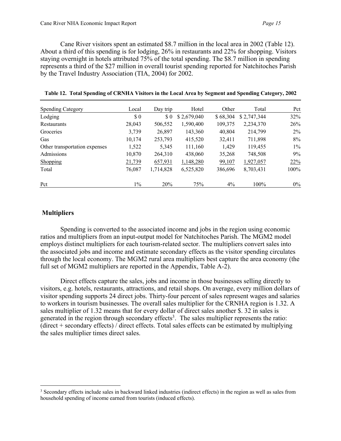Cane River visitors spent an estimated \$8.7 million in the local area in 2002 (Table 12). About a third of this spending is for lodging, 26% in restaurants and 22% for shopping. Visitors staying overnight in hotels attributed 75% of the total spending. The \$8.7 million in spending represents a third of the \$27 million in overall tourist spending reported for Natchitoches Parish by the Travel Industry Association (TIA, 2004) for 2002.

| <b>Spending Category</b>      | Local  | Day trip  | Hotel       | Other    | Total       | Pct   |
|-------------------------------|--------|-----------|-------------|----------|-------------|-------|
| Lodging                       | \$0    | $\Omega$  | \$2,679,040 | \$68,304 | \$2,747,344 | 32%   |
| Restaurants                   | 28,043 | 506,552   | 1,590,400   | 109,375  | 2,234,370   | 26%   |
| Groceries                     | 3,739  | 26,897    | 143,360     | 40,804   | 214,799     | $2\%$ |
| Gas                           | 10,174 | 253,793   | 415,520     | 32,411   | 711,898     | 8%    |
| Other transportation expenses | 1,522  | 5,345     | 111,160     | 1,429    | 119,455     | $1\%$ |
| Admissions                    | 10,870 | 264,310   | 438,060     | 35,268   | 748,508     | 9%    |
| Shopping                      | 21,739 | 657,931   | 1,148,280   | 99,107   | 1,927,057   | 22%   |
| Total                         | 76,087 | 1,714,828 | 6,525,820   | 386,696  | 8,703,431   | 100%  |
| Pct                           | $1\%$  | 20%       | 75%         | $4\%$    | 100%        | $0\%$ |

## **Multipliers**

Spending is converted to the associated income and jobs in the region using economic ratios and multipliers from an input-output model for Natchitoches Parish. The MGM2 model employs distinct multipliers for each tourism-related sector. The multipliers convert sales into the associated jobs and income and estimate secondary effects as the visitor spending circulates through the local economy. The MGM2 rural area multipliers best capture the area economy (the full set of MGM2 multipliers are reported in the Appendix, Table A-2).

Direct effects capture the sales, jobs and income in those businesses selling directly to visitors, e.g. hotels, restaurants, attractions, and retail shops. On average, every million dollars of visitor spending supports 24 direct jobs. Thirty-four percent of sales represent wages and salaries to workers in tourism businesses. The overall sales multiplier for the CRNHA region is 1.32. A sales multiplier of 1.32 means that for every dollar of direct sales another \$. 32 in sales is generated in the region through secondary effects<sup>3</sup>. The sales multiplier represents the ratio: (direct + secondary effects) / direct effects. Total sales effects can be estimated by multiplying the sales multiplier times direct sales.

<sup>&</sup>lt;sup>3</sup> Secondary effects include sales in backward linked industries (indirect effects) in the region as well as sales from household spending of income earned from tourists (induced effects).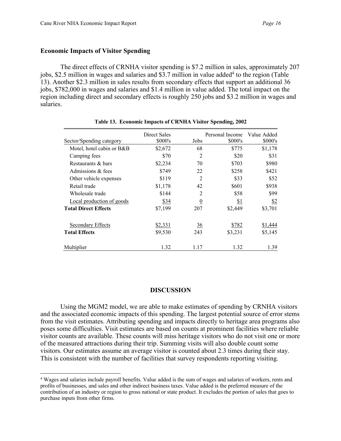## **Economic Impacts of Visitor Spending**

The direct effects of CRNHA visitor spending is \$7.2 million in sales, approximately 207 jobs, \$2.5 million in wages and salaries and \$3.7 million in value added<sup>4</sup> to the region (Table 13). Another \$2.3 million in sales results from secondary effects that support an additional 36 jobs, \$782,000 in wages and salaries and \$1.4 million in value added. The total impact on the region including direct and secondary effects is roughly 250 jobs and \$3.2 million in wages and salaries.

| Sector/Spending category    | Direct Sales<br>\$000's | Jobs           | Personal Income<br>\$000's | Value Added<br>\$000's |
|-----------------------------|-------------------------|----------------|----------------------------|------------------------|
| Motel, hotel cabin or B&B   | \$2,672                 | 68             | \$775                      | \$1,178                |
| Camping fees                | \$70                    | $\overline{2}$ | \$20                       | \$31                   |
| Restaurants & bars          | \$2,234                 | 70             | \$703                      | \$980                  |
| Admissions & fees           | \$749                   | 22             | \$258                      | \$421                  |
| Other vehicle expenses      | \$119                   | $\overline{2}$ | \$33                       | \$52                   |
| Retail trade                | \$1,178                 | 42             | \$601                      | \$938                  |
| Wholesale trade             | \$144                   | $\overline{c}$ | \$58                       | \$99                   |
| Local production of goods   | \$34                    | $\overline{0}$ | \$1                        | $\frac{$2}{}$          |
| <b>Total Direct Effects</b> | \$7,199                 | 207            | \$2,449                    | \$3,701                |
| Secondary Effects           | \$2,331                 | $\frac{36}{5}$ | \$782                      | \$1,444                |
| <b>Total Effects</b>        | \$9,530                 | 243            | \$3,231                    | \$5,145                |
| Multiplier                  | 1.32                    | 1.17           | 1.32                       | 1.39                   |

**Table 13. Economic Impacts of CRNHA Visitor Spending, 2002**

#### **DISCUSSION**

Using the MGM2 model, we are able to make estimates of spending by CRNHA visitors and the associated economic impacts of this spending. The largest potential source of error stems from the visit estimates. Attributing spending and impacts directly to heritage area programs also poses some difficulties. Visit estimates are based on counts at prominent facilities where reliable visitor counts are available. These counts will miss heritage visitors who do not visit one or more of the measured attractions during their trip. Summing visits will also double count some visitors. Our estimates assume an average visitor is counted about 2.3 times during their stay. This is consistent with the number of facilities that survey respondents reporting visiting.

 <sup>4</sup> Wages and salaries include payroll benefits. Value added is the sum of wages and salaries of workers, rents and profits of businesses, and sales and other indirect business taxes. Value added is the preferred measure of the contribution of an industry or region to gross national or state product. It excludes the portion of sales that goes to purchase inputs from other firms.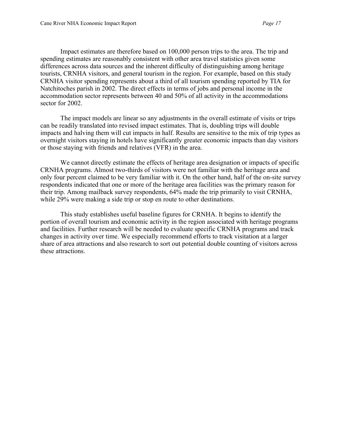Impact estimates are therefore based on 100,000 person trips to the area. The trip and spending estimates are reasonably consistent with other area travel statistics given some differences across data sources and the inherent difficulty of distinguishing among heritage tourists, CRNHA visitors, and general tourism in the region. For example, based on this study CRNHA visitor spending represents about a third of all tourism spending reported by TIA for Natchitoches parish in 2002. The direct effects in terms of jobs and personal income in the accommodation sector represents between 40 and 50% of all activity in the accommodations sector for 2002.

The impact models are linear so any adjustments in the overall estimate of visits or trips can be readily translated into revised impact estimates. That is, doubling trips will double impacts and halving them will cut impacts in half. Results are sensitive to the mix of trip types as overnight visitors staying in hotels have significantly greater economic impacts than day visitors or those staying with friends and relatives (VFR) in the area.

We cannot directly estimate the effects of heritage area designation or impacts of specific CRNHA programs. Almost two-thirds of visitors were not familiar with the heritage area and only four percent claimed to be very familiar with it. On the other hand, half of the on-site survey respondents indicated that one or more of the heritage area facilities was the primary reason for their trip. Among mailback survey respondents, 64% made the trip primarily to visit CRNHA, while 29% were making a side trip or stop en route to other destinations.

This study establishes useful baseline figures for CRNHA. It begins to identify the portion of overall tourism and economic activity in the region associated with heritage programs and facilities. Further research will be needed to evaluate specific CRNHA programs and track changes in activity over time. We especially recommend efforts to track visitation at a larger share of area attractions and also research to sort out potential double counting of visitors across these attractions.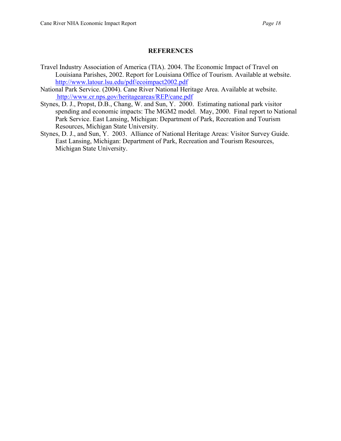## **REFERENCES**

- Travel Industry Association of America (TIA). 2004. The Economic Impact of Travel on Louisiana Parishes, 2002. Report for Louisiana Office of Tourism. Available at website. http://www.latour.lsu.edu/pdf/ecoimpact2002.pdf
- National Park Service. (2004). Cane River National Heritage Area. Available at website. http://www.cr.nps.gov/heritageareas/REP/cane.pdf
- Stynes, D. J., Propst, D.B., Chang, W. and Sun, Y. 2000. Estimating national park visitor spending and economic impacts: The MGM2 model. May, 2000. Final report to National Park Service. East Lansing, Michigan: Department of Park, Recreation and Tourism Resources, Michigan State University.
- Stynes, D. J., and Sun, Y. 2003. Alliance of National Heritage Areas: Visitor Survey Guide. East Lansing, Michigan: Department of Park, Recreation and Tourism Resources, Michigan State University.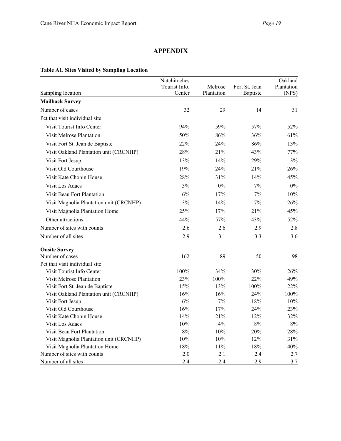## **APPENDIX**

## **Table A1. Sites Visited by Sampling Location**

|                                         | Natchitoches  |            |               | Oakland    |
|-----------------------------------------|---------------|------------|---------------|------------|
|                                         | Tourist Info. | Melrose    | Fort St. Jean | Plantation |
| Sampling location                       | Center        | Plantation | Baptiste      | (NPS)      |
| <b>Mailback Survey</b>                  |               |            |               |            |
| Number of cases                         | 32            | 29         | 14            | 31         |
| Pct that visit individual site          |               |            |               |            |
| Visit Tourist Info Center               | 94%           | 59%        | 57%           | 52%        |
| Visit Melrose Plantation                | 50%           | 86%        | 36%           | 61%        |
| Visit Fort St. Jean de Baptiste         | 22%           | 24%        | 86%           | 13%        |
| Visit Oakland Plantation unit (CRCNHP)  | 28%           | 21%        | 43%           | 77%        |
| Visit Fort Jesup                        | 13%           | 14%        | 29%           | 3%         |
| Visit Old Courthouse                    | 19%           | 24%        | 21%           | 26%        |
| Visit Kate Chopin House                 | 28%           | 31%        | 14%           | 45%        |
| <b>Visit Los Adaes</b>                  | 3%            | $0\%$      | 7%            | $0\%$      |
| Visit Beau Fort Plantation              | 6%            | 17%        | 7%            | 10%        |
| Visit Magnolia Plantation unit (CRCNHP) | 3%            | 14%        | 7%            | 26%        |
| Visit Magnolia Plantation Home          | 25%           | 17%        | 21%           | 45%        |
| Other attractions                       | 44%           | 57%        | 43%           | 52%        |
| Number of sites with counts             | 2.6           | 2.6        | 2.9           | 2.8        |
| Number of all sites                     | 2.9           | 3.1        | 3.3           | 3.6        |
| <b>Onsite Survey</b>                    |               |            |               |            |
| Number of cases                         | 162           | 89         | 50            | 98         |
| Pct that visit individual site          |               |            |               |            |
| Visit Tourist Info Center               | 100%          | 34%        | 30%           | 26%        |
| Visit Melrose Plantation                | 23%           | 100%       | 22%           | 49%        |
| Visit Fort St. Jean de Baptiste         | 15%           | 13%        | 100%          | 22%        |
| Visit Oakland Plantation unit (CRCNHP)  | 16%           | 16%        | 24%           | 100%       |
| Visit Fort Jesup                        | 6%            | 7%         | 18%           | 10%        |
| Visit Old Courthouse                    | 16%           | 17%        | 24%           | 23%        |
| Visit Kate Chopin House                 | 14%           | 21%        | 12%           | 32%        |
| <b>Visit Los Adaes</b>                  | 10%           | 4%         | 8%            | 8%         |
| Visit Beau Fort Plantation              | 8%            | 10%        | 20%           | 28%        |
| Visit Magnolia Plantation unit (CRCNHP) | 10%           | 10%        | 12%           | 31%        |
| Visit Magnolia Plantation Home          | 18%           | $11\%$     | 18%           | 40%        |
| Number of sites with counts             | 2.0           | 2.1        | 2.4           | 2.7        |
| Number of all sites                     | 2.4           | 2.4        | 2.9           | 3.7        |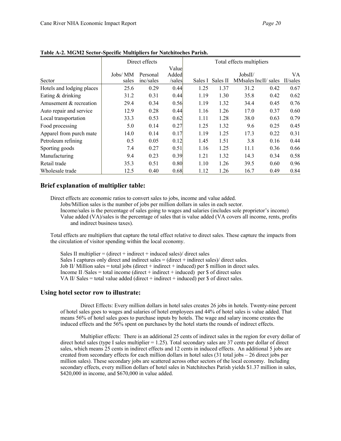|                           | Direct effects |           |        | Total effects multipliers |          |                      |      |          |
|---------------------------|----------------|-----------|--------|---------------------------|----------|----------------------|------|----------|
|                           |                |           | Value  |                           |          |                      |      |          |
|                           | Jobs/ MM       | Personal  | Added  |                           |          | JobsII/              |      | VA.      |
| Sector                    | sales          | inc/sales | /sales | Sales I                   | Sales II | MMsales IncII/ sales |      | II/sales |
| Hotels and lodging places | 25.6           | 0.29      | 0.44   | 1.25                      | 1.37     | 31.2                 | 0.42 | 0.67     |
| Eating & drinking         | 31.2           | 0.31      | 0.44   | 1.19                      | 1.30     | 35.8                 | 0.42 | 0.62     |
| Amusement & recreation    | 29.4           | 0.34      | 0.56   | 1.19                      | 1.32     | 34.4                 | 0.45 | 0.76     |
| Auto repair and service   | 12.9           | 0.28      | 0.44   | 1.16                      | 1.26     | 17.0                 | 0.37 | 0.60     |
| Local transportation      | 33.3           | 0.53      | 0.62   | 1.11                      | 1.28     | 38.0                 | 0.63 | 0.79     |
| Food processing           | 5.0            | 0.14      | 0.27   | 1.25                      | 1.32     | 9.6                  | 0.25 | 0.45     |
| Apparel from purch mate   | 14.0           | 0.14      | 0.17   | 1.19                      | 1.25     | 17.3                 | 0.22 | 0.31     |
| Petroleum refining        | 0.5            | 0.05      | 0.12   | 1.45                      | 1.51     | 3.8                  | 0.16 | 0.44     |
| Sporting goods            | 7.4            | 0.27      | 0.51   | 1.16                      | 1.25     | 11.1                 | 0.36 | 0.66     |
| Manufacturing             | 9.4            | 0.23      | 0.39   | 1.21                      | 1.32     | 14.3                 | 0.34 | 0.58     |
| Retail trade              | 35.3           | 0.51      | 0.80   | 1.10                      | 1.26     | 39.5                 | 0.60 | 0.96     |
| Wholesale trade           | 12.5           | 0.40      | 0.68   | 1.12                      | 1.26     | 16.7                 | 0.49 | 0.84     |

**Table A-2. MGM2 Sector-Specific Multipliers for Natchitoches Parish.** 

#### **Brief explanation of multiplier table:**

Direct effects are economic ratios to convert sales to jobs, income and value added.

Jobs/Million sales is the number of jobs per million dollars in sales in each sector.

Income/sales is the percentage of sales going to wages and salaries (includes sole proprietor's income) Value added (VA)/sales is the percentage of sales that is value added (VA covers all income, rents, profits and indirect business taxes).

Total effects are multipliers that capture the total effect relative to direct sales. These capture the impacts from the circulation of visitor spending within the local economy.

Sales II multiplier =  $(direct + indirect + induced sales)/ direct sales$ Sales I captures only direct and indirect sales  $=$  (direct + indirect sales)/ direct sales. Job II/ Million sales = total jobs (direct + indirect + induced) per \$ million in direct sales. Income II /Sales = total income (direct + indirect + induced) per  $\$  of direct sales VA II/ Sales = total value added (direct + indirect + induced) per  $\$  of direct sales.

#### **Using hotel sector row to illustrate:**

Direct Effects: Every million dollars in hotel sales creates 26 jobs in hotels. Twenty-nine percent of hotel sales goes to wages and salaries of hotel employees and 44% of hotel sales is value added. That means 56% of hotel sales goes to purchase inputs by hotels. The wage and salary income creates the induced effects and the 56% spent on purchases by the hotel starts the rounds of indirect effects.

Multiplier effects: There is an additional 25 cents of indirect sales in the region for every dollar of direct hotel sales (type I sales multiplier  $= 1.25$ ). Total secondary sales are 37 cents per dollar of direct sales, which means 25 cents in indirect effects and 12 cents in induced effects. An additional 5 jobs are created from secondary effects for each million dollars in hotel sales (31 total jobs – 26 direct jobs per million sales). These secondary jobs are scattered across other sectors of the local economy. Including secondary effects, every million dollars of hotel sales in Natchitoches Parish yields \$1.37 million in sales, \$420,000 in income, and \$670,000 in value added.